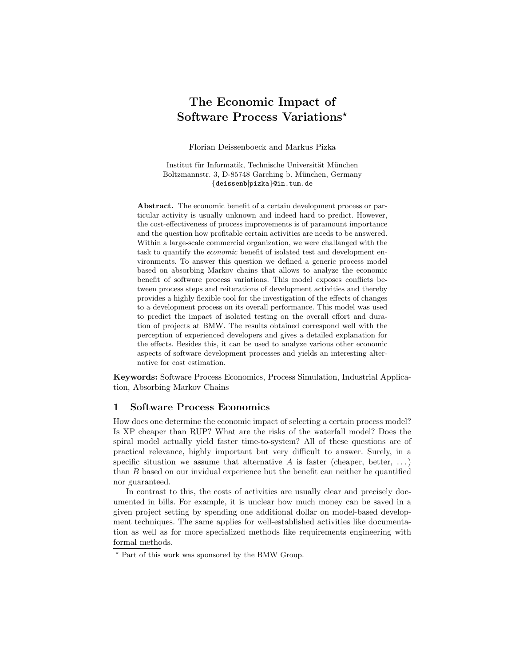# The Economic Impact of Software Process Variations?

Florian Deissenboeck and Markus Pizka

Institut für Informatik, Technische Universität München Boltzmannstr. 3, D-85748 Garching b. München, Germany {deissenb|pizka}@in.tum.de

Abstract. The economic benefit of a certain development process or particular activity is usually unknown and indeed hard to predict. However, the cost-effectiveness of process improvements is of paramount importance and the question how profitable certain activities are needs to be answered. Within a large-scale commercial organization, we were challanged with the task to quantify the economic benefit of isolated test and development environments. To answer this question we defined a generic process model based on absorbing Markov chains that allows to analyze the economic benefit of software process variations. This model exposes conflicts between process steps and reiterations of development activities and thereby provides a highly flexible tool for the investigation of the effects of changes to a development process on its overall performance. This model was used to predict the impact of isolated testing on the overall effort and duration of projects at BMW. The results obtained correspond well with the perception of experienced developers and gives a detailed explanation for the effects. Besides this, it can be used to analyze various other economic aspects of software development processes and yields an interesting alternative for cost estimation.

Keywords: Software Process Economics, Process Simulation, Industrial Application, Absorbing Markov Chains

# 1 Software Process Economics

How does one determine the economic impact of selecting a certain process model? Is XP cheaper than RUP? What are the risks of the waterfall model? Does the spiral model actually yield faster time-to-system? All of these questions are of practical relevance, highly important but very difficult to answer. Surely, in a specific situation we assume that alternative A is faster (cheaper, better,  $\dots$ ) than B based on our invidual experience but the benefit can neither be quantified nor guaranteed.

In contrast to this, the costs of activities are usually clear and precisely documented in bills. For example, it is unclear how much money can be saved in a given project setting by spending one additional dollar on model-based development techniques. The same applies for well-established activities like documentation as well as for more specialized methods like requirements engineering with formal methods.

<sup>?</sup> Part of this work was sponsored by the BMW Group.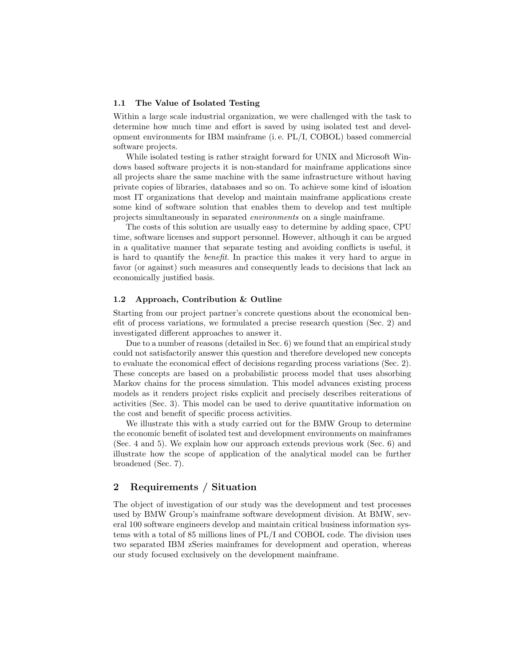#### 1.1 The Value of Isolated Testing

Within a large scale industrial organization, we were challenged with the task to determine how much time and effort is saved by using isolated test and development environments for IBM mainframe (i. e. PL/I, COBOL) based commercial software projects.

While isolated testing is rather straight forward for UNIX and Microsoft Windows based software projects it is non-standard for mainframe applications since all projects share the same machine with the same infrastructure without having private copies of libraries, databases and so on. To achieve some kind of isloation most IT organizations that develop and maintain mainframe applications create some kind of software solution that enables them to develop and test multiple projects simultaneously in separated environments on a single mainframe.

The costs of this solution are usually easy to determine by adding space, CPU time, software licenses and support personnel. However, although it can be argued in a qualitative manner that separate testing and avoiding conflicts is useful, it is hard to quantify the benefit. In practice this makes it very hard to argue in favor (or against) such measures and consequently leads to decisions that lack an economically justified basis.

## 1.2 Approach, Contribution & Outline

Starting from our project partner's concrete questions about the economical benefit of process variations, we formulated a precise research question (Sec. 2) and investigated different approaches to answer it.

Due to a number of reasons (detailed in Sec. 6) we found that an empirical study could not satisfactorily answer this question and therefore developed new concepts to evaluate the economical effect of decisions regarding process variations (Sec. 2). These concepts are based on a probabilistic process model that uses absorbing Markov chains for the process simulation. This model advances existing process models as it renders project risks explicit and precisely describes reiterations of activities (Sec. 3). This model can be used to derive quantitative information on the cost and benefit of specific process activities.

We illustrate this with a study carried out for the BMW Group to determine the economic benefit of isolated test and development environments on mainframes (Sec. 4 and 5). We explain how our approach extends previous work (Sec. 6) and illustrate how the scope of application of the analytical model can be further broadened (Sec. 7).

# 2 Requirements / Situation

The object of investigation of our study was the development and test processes used by BMW Group's mainframe software development division. At BMW, several 100 software engineers develop and maintain critical business information systems with a total of 85 millions lines of PL/I and COBOL code. The division uses two separated IBM zSeries mainframes for development and operation, whereas our study focused exclusively on the development mainframe.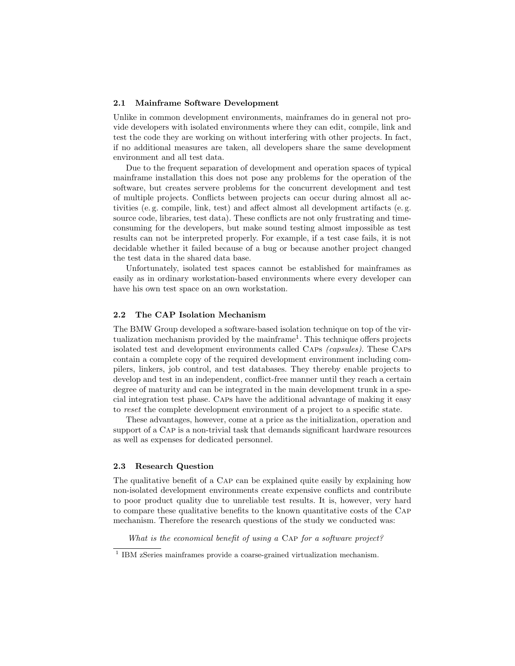#### 2.1 Mainframe Software Development

Unlike in common development environments, mainframes do in general not provide developers with isolated environments where they can edit, compile, link and test the code they are working on without interfering with other projects. In fact, if no additional measures are taken, all developers share the same development environment and all test data.

Due to the frequent separation of development and operation spaces of typical mainframe installation this does not pose any problems for the operation of the software, but creates servere problems for the concurrent development and test of multiple projects. Conflicts between projects can occur during almost all activities (e. g. compile, link, test) and affect almost all development artifacts (e. g. source code, libraries, test data). These conflicts are not only frustrating and timeconsuming for the developers, but make sound testing almost impossible as test results can not be interpreted properly. For example, if a test case fails, it is not decidable whether it failed because of a bug or because another project changed the test data in the shared data base.

Unfortunately, isolated test spaces cannot be established for mainframes as easily as in ordinary workstation-based environments where every developer can have his own test space on an own workstation.

## 2.2 The CAP Isolation Mechanism

The BMW Group developed a software-based isolation technique on top of the virtualization mechanism provided by the mainframe<sup>1</sup>. This technique offers projects isolated test and development environments called Caps (capsules). These Caps contain a complete copy of the required development environment including compilers, linkers, job control, and test databases. They thereby enable projects to develop and test in an independent, conflict-free manner until they reach a certain degree of maturity and can be integrated in the main development trunk in a special integration test phase. Caps have the additional advantage of making it easy to reset the complete development environment of a project to a specific state.

These advantages, however, come at a price as the initialization, operation and support of a Cap is a non-trivial task that demands significant hardware resources as well as expenses for dedicated personnel.

#### 2.3 Research Question

The qualitative benefit of a Cap can be explained quite easily by explaining how non-isolated development environments create expensive conflicts and contribute to poor product quality due to unreliable test results. It is, however, very hard to compare these qualitative benefits to the known quantitative costs of the Cap mechanism. Therefore the research questions of the study we conducted was:

What is the economical benefit of using a CAP for a software project?

<sup>&</sup>lt;sup>1</sup> IBM zSeries mainframes provide a coarse-grained virtualization mechanism.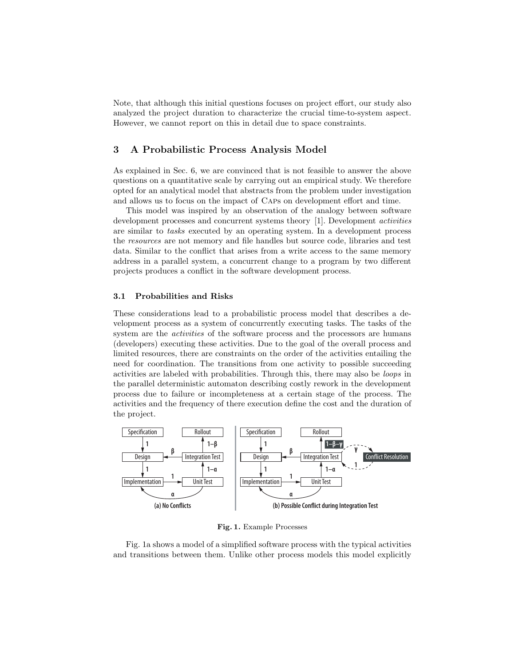Note, that although this initial questions focuses on project effort, our study also analyzed the project duration to characterize the crucial time-to-system aspect. However, we cannot report on this in detail due to space constraints.

## 3 A Probabilistic Process Analysis Model

As explained in Sec. 6, we are convinced that is not feasible to answer the above questions on a quantitative scale by carrying out an empirical study. We therefore opted for an analytical model that abstracts from the problem under investigation and allows us to focus on the impact of Caps on development effort and time.

This model was inspired by an observation of the analogy between software development processes and concurrent systems theory [1]. Development activities are similar to tasks executed by an operating system. In a development process the resources are not memory and file handles but source code, libraries and test data. Similar to the conflict that arises from a write access to the same memory address in a parallel system, a concurrent change to a program by two different projects produces a conflict in the software development process.

## 3.1 Probabilities and Risks

These considerations lead to a probabilistic process model that describes a development process as a system of concurrently executing tasks. The tasks of the system are the *activities* of the software process and the processors are humans (developers) executing these activities. Due to the goal of the overall process and limited resources, there are constraints on the order of the activities entailing the need for coordination. The transitions from one activity to possible succeeding activities are labeled with probabilities. Through this, there may also be loops in the parallel deterministic automaton describing costly rework in the development process due to failure or incompleteness at a certain stage of the process. The activities and the frequency of there execution define the cost and the duration of the project.



Fig. 1. Example Processes

Fig. 1a shows a model of a simplified software process with the typical activities and transitions between them. Unlike other process models this model explicitly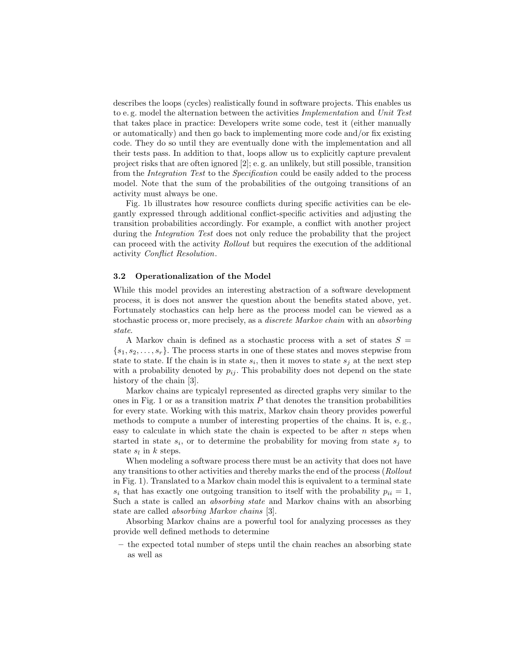describes the loops (cycles) realistically found in software projects. This enables us to e. g. model the alternation between the activities Implementation and Unit Test that takes place in practice: Developers write some code, test it (either manually or automatically) and then go back to implementing more code and/or fix existing code. They do so until they are eventually done with the implementation and all their tests pass. In addition to that, loops allow us to explicitly capture prevalent project risks that are often ignored [2]; e. g. an unlikely, but still possible, transition from the Integration Test to the Specification could be easily added to the process model. Note that the sum of the probabilities of the outgoing transitions of an activity must always be one.

Fig. 1b illustrates how resource conflicts during specific activities can be elegantly expressed through additional conflict-specific activities and adjusting the transition probabilities accordingly. For example, a conflict with another project during the Integration Test does not only reduce the probability that the project can proceed with the activity Rollout but requires the execution of the additional activity Conflict Resolution.

## 3.2 Operationalization of the Model

While this model provides an interesting abstraction of a software development process, it is does not answer the question about the benefits stated above, yet. Fortunately stochastics can help here as the process model can be viewed as a stochastic process or, more precisely, as a discrete Markov chain with an absorbing state.

A Markov chain is defined as a stochastic process with a set of states  $S =$  ${s_1, s_2, \ldots, s_r}$ . The process starts in one of these states and moves stepwise from state to state. If the chain is in state  $s_i$ , then it moves to state  $s_j$  at the next step with a probability denoted by  $p_{ij}$ . This probability does not depend on the state history of the chain [3].

Markov chains are typicalyl represented as directed graphs very similar to the ones in Fig. 1 or as a transition matrix  $P$  that denotes the transition probabilities for every state. Working with this matrix, Markov chain theory provides powerful methods to compute a number of interesting properties of the chains. It is, e. g., easy to calculate in which state the chain is expected to be after  $n$  steps when started in state  $s_i$ , or to determine the probability for moving from state  $s_j$  to state  $s_l$  in k steps.

When modeling a software process there must be an activity that does not have any transitions to other activities and thereby marks the end of the process (Rollout in Fig. 1). Translated to a Markov chain model this is equivalent to a terminal state  $s_i$  that has exactly one outgoing transition to itself with the probability  $p_{ii} = 1$ , Such a state is called an absorbing state and Markov chains with an absorbing state are called absorbing Markov chains [3].

Absorbing Markov chains are a powerful tool for analyzing processes as they provide well defined methods to determine

– the expected total number of steps until the chain reaches an absorbing state as well as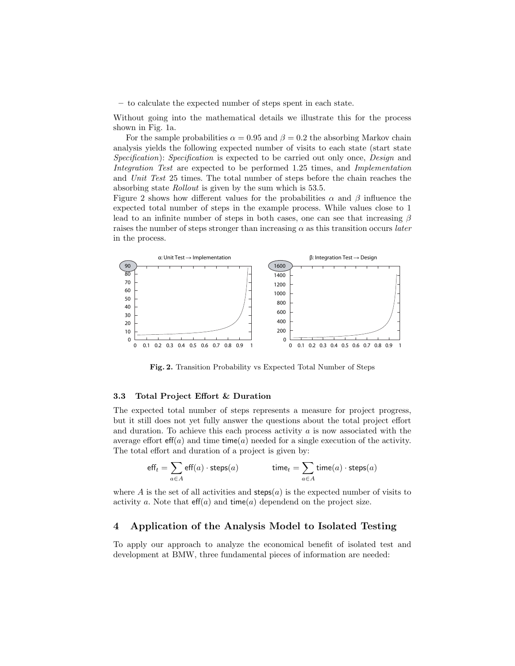– to calculate the expected number of steps spent in each state.

Without going into the mathematical details we illustrate this for the process shown in Fig. 1a.

For the sample probabilities  $\alpha = 0.95$  and  $\beta = 0.2$  the absorbing Markov chain analysis yields the following expected number of visits to each state (start state Specification): Specification is expected to be carried out only once, Design and Integration Test are expected to be performed 1.25 times, and Implementation and Unit Test 25 times. The total number of steps before the chain reaches the absorbing state Rollout is given by the sum which is 53.5.

Figure 2 shows how different values for the probabilities  $\alpha$  and  $\beta$  influence the expected total number of steps in the example process. While values close to 1 lead to an infinite number of steps in both cases, one can see that increasing  $\beta$ raises the number of steps stronger than increasing  $\alpha$  as this transition occurs *later* in the process.



Fig. 2. Transition Probability vs Expected Total Number of Steps

## 3.3 Total Project Effort & Duration

The expected total number of steps represents a measure for project progress, but it still does not yet fully answer the questions about the total project effort and duration. To achieve this each process activity  $a$  is now associated with the average effort  $\text{eff}(a)$  and time time(a) needed for a single execution of the activity. The total effort and duration of a project is given by:

$$
\mathsf{eff}_t = \sum_{a \in A} \mathsf{eff}(a) \cdot \mathsf{steps}(a) \qquad \qquad \mathsf{time}_t = \sum_{a \in A} \mathsf{time}(a) \cdot \mathsf{steps}(a)
$$

where A is the set of all activities and  $\text{steps}(a)$  is the expected number of visits to activity a. Note that  $\text{eff}(a)$  and time(a) dependend on the project size.

## 4 Application of the Analysis Model to Isolated Testing

To apply our approach to analyze the economical benefit of isolated test and development at BMW, three fundamental pieces of information are needed: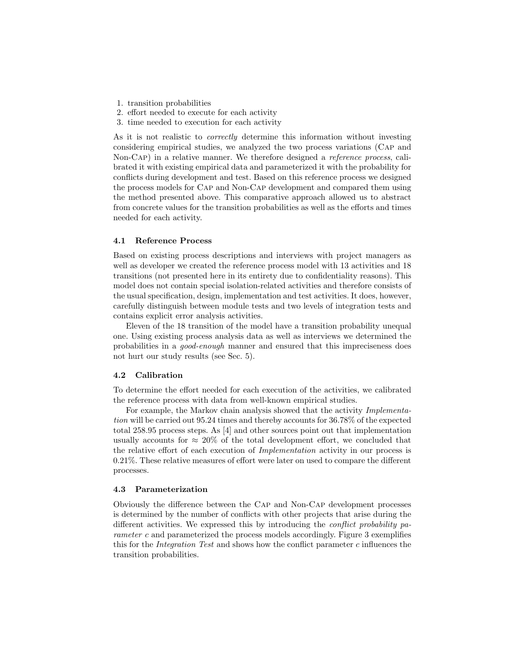- 1. transition probabilities
- 2. effort needed to execute for each activity
- 3. time needed to execution for each activity

As it is not realistic to correctly determine this information without investing considering empirical studies, we analyzed the two process variations (Cap and Non-Cap) in a relative manner. We therefore designed a *reference process*, calibrated it with existing empirical data and parameterized it with the probability for conflicts during development and test. Based on this reference process we designed the process models for Cap and Non-Cap development and compared them using the method presented above. This comparative approach allowed us to abstract from concrete values for the transition probabilities as well as the efforts and times needed for each activity.

## 4.1 Reference Process

Based on existing process descriptions and interviews with project managers as well as developer we created the reference process model with 13 activities and 18 transitions (not presented here in its entirety due to confidentiality reasons). This model does not contain special isolation-related activities and therefore consists of the usual specification, design, implementation and test activities. It does, however, carefully distinguish between module tests and two levels of integration tests and contains explicit error analysis activities.

Eleven of the 18 transition of the model have a transition probability unequal one. Using existing process analysis data as well as interviews we determined the probabilities in a good-enough manner and ensured that this impreciseness does not hurt our study results (see Sec. 5).

## 4.2 Calibration

To determine the effort needed for each execution of the activities, we calibrated the reference process with data from well-known empirical studies.

For example, the Markov chain analysis showed that the activity Implementation will be carried out 95.24 times and thereby accounts for 36.78% of the expected total 258.95 process steps. As [4] and other sources point out that implementation usually accounts for  $\approx 20\%$  of the total development effort, we concluded that the relative effort of each execution of Implementation activity in our process is 0.21%. These relative measures of effort were later on used to compare the different processes.

## 4.3 Parameterization

Obviously the difference between the Cap and Non-Cap development processes is determined by the number of conflicts with other projects that arise during the different activities. We expressed this by introducing the conflict probability parameter c and parameterized the process models accordingly. Figure 3 exemplifies this for the *Integration Test* and shows how the conflict parameter  $c$  influences the transition probabilities.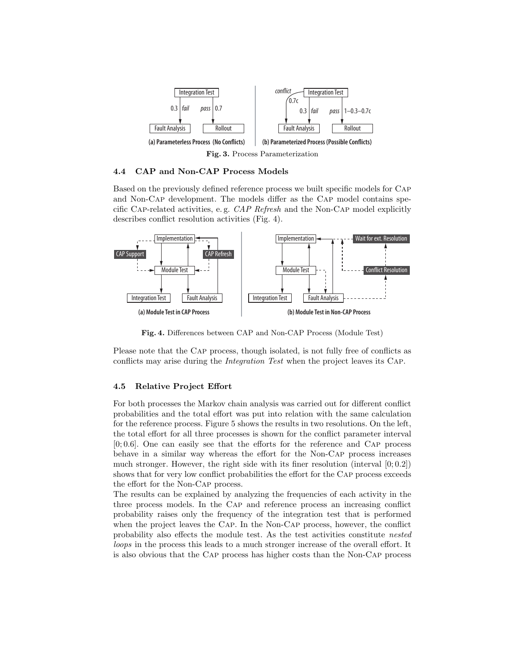

## 4.4 CAP and Non-CAP Process Models

Based on the previously defined reference process we built specific models for Cap and Non-Cap development. The models differ as the Cap model contains specific CAP-related activities, e.g.  $CAP$  Refresh and the Non-CAP model explicitly describes conflict resolution activities (Fig. 4).



Fig. 4. Differences between CAP and Non-CAP Process (Module Test)

Please note that the Cap process, though isolated, is not fully free of conflicts as conflicts may arise during the Integration Test when the project leaves its Cap.

## 4.5 Relative Project Effort

For both processes the Markov chain analysis was carried out for different conflict probabilities and the total effort was put into relation with the same calculation for the reference process. Figure 5 shows the results in two resolutions. On the left, the total effort for all three processes is shown for the conflict parameter interval  $[0, 0.6]$ . One can easily see that the efforts for the reference and CAP process behave in a similar way whereas the effort for the Non-Cap process increases much stronger. However, the right side with its finer resolution (interval  $[0; 0.2]$ ) shows that for very low conflict probabilities the effort for the Cap process exceeds the effort for the Non-Cap process.

The results can be explained by analyzing the frequencies of each activity in the three process models. In the Cap and reference process an increasing conflict probability raises only the frequency of the integration test that is performed when the project leaves the Cap. In the Non-Cap process, however, the conflict probability also effects the module test. As the test activities constitute nested loops in the process this leads to a much stronger increase of the overall effort. It is also obvious that the Cap process has higher costs than the Non-Cap process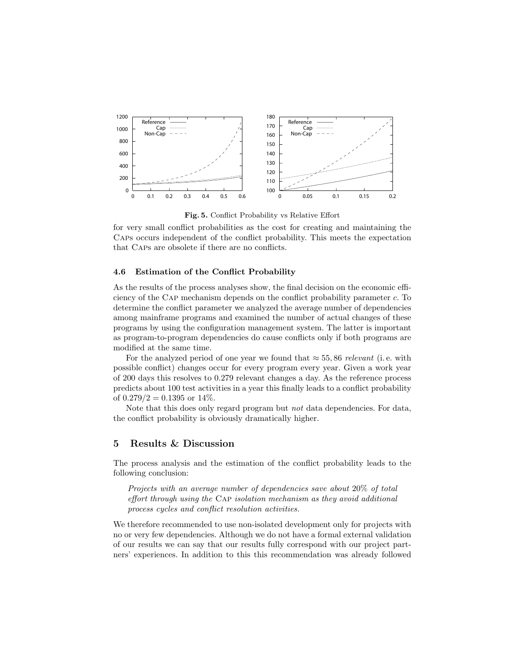

Fig. 5. Conflict Probability vs Relative Effort

for very small conflict probabilities as the cost for creating and maintaining the Caps occurs independent of the conflict probability. This meets the expectation that Caps are obsolete if there are no conflicts.

## 4.6 Estimation of the Conflict Probability

As the results of the process analyses show, the final decision on the economic efficiency of the Cap mechanism depends on the conflict probability parameter c. To determine the conflict parameter we analyzed the average number of dependencies among mainframe programs and examined the number of actual changes of these programs by using the configuration management system. The latter is important as program-to-program dependencies do cause conflicts only if both programs are modified at the same time.

For the analyzed period of one year we found that  $\approx$  55, 86 relevant (i.e. with possible conflict) changes occur for every program every year. Given a work year of 200 days this resolves to 0.279 relevant changes a day. As the reference process predicts about 100 test activities in a year this finally leads to a conflict probability of  $0.279/2 = 0.1395$  or  $14\%$ .

Note that this does only regard program but not data dependencies. For data, the conflict probability is obviously dramatically higher.

## 5 Results & Discussion

The process analysis and the estimation of the conflict probability leads to the following conclusion:

Projects with an average number of dependencies save about 20% of total effort through using the Cap isolation mechanism as they avoid additional process cycles and conflict resolution activities.

We therefore recommended to use non-isolated development only for projects with no or very few dependencies. Although we do not have a formal external validation of our results we can say that our results fully correspond with our project partners' experiences. In addition to this this recommendation was already followed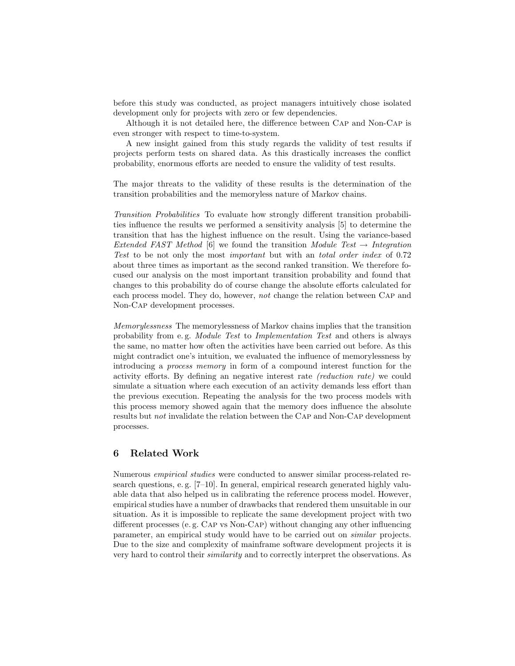before this study was conducted, as project managers intuitively chose isolated development only for projects with zero or few dependencies.

Although it is not detailed here, the difference between Cap and Non-Cap is even stronger with respect to time-to-system.

A new insight gained from this study regards the validity of test results if projects perform tests on shared data. As this drastically increases the conflict probability, enormous efforts are needed to ensure the validity of test results.

The major threats to the validity of these results is the determination of the transition probabilities and the memoryless nature of Markov chains.

Transition Probabilities To evaluate how strongly different transition probabilities influence the results we performed a sensitivity analysis [5] to determine the transition that has the highest influence on the result. Using the variance-based Extended FAST Method [6] we found the transition Module Test  $\rightarrow$  Integration Test to be not only the most important but with an total order index of 0.72 about three times as important as the second ranked transition. We therefore focused our analysis on the most important transition probability and found that changes to this probability do of course change the absolute efforts calculated for each process model. They do, however, not change the relation between Cap and Non-Cap development processes.

Memorylessness The memorylessness of Markov chains implies that the transition probability from e. g. Module Test to Implementation Test and others is always the same, no matter how often the activities have been carried out before. As this might contradict one's intuition, we evaluated the influence of memorylessness by introducing a process memory in form of a compound interest function for the activity efforts. By defining an negative interest rate (reduction rate) we could simulate a situation where each execution of an activity demands less effort than the previous execution. Repeating the analysis for the two process models with this process memory showed again that the memory does influence the absolute results but not invalidate the relation between the Cap and Non-Cap development processes.

# 6 Related Work

Numerous empirical studies were conducted to answer similar process-related research questions, e. g. [7–10]. In general, empirical research generated highly valuable data that also helped us in calibrating the reference process model. However, empirical studies have a number of drawbacks that rendered them unsuitable in our situation. As it is impossible to replicate the same development project with two different processes (e. g. Cap vs Non-Cap) without changing any other influencing parameter, an empirical study would have to be carried out on similar projects. Due to the size and complexity of mainframe software development projects it is very hard to control their similarity and to correctly interpret the observations. As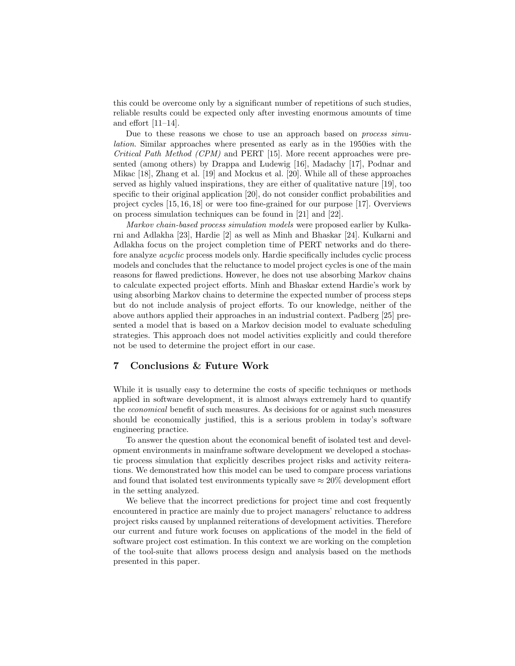this could be overcome only by a significant number of repetitions of such studies, reliable results could be expected only after investing enormous amounts of time and effort [11–14].

Due to these reasons we chose to use an approach based on *process simu*lation. Similar approaches where presented as early as in the 1950ies with the Critical Path Method (CPM) and PERT [15]. More recent approaches were presented (among others) by Drappa and Ludewig [16], Madachy [17], Podnar and Mikac [18], Zhang et al. [19] and Mockus et al. [20]. While all of these approaches served as highly valued inspirations, they are either of qualitative nature [19], too specific to their original application [20], do not consider conflict probabilities and project cycles [15, 16, 18] or were too fine-grained for our purpose [17]. Overviews on process simulation techniques can be found in [21] and [22].

Markov chain-based process simulation models were proposed earlier by Kulkarni and Adlakha [23], Hardie [2] as well as Minh and Bhaskar [24]. Kulkarni and Adlakha focus on the project completion time of PERT networks and do therefore analyze acyclic process models only. Hardie specifically includes cyclic process models and concludes that the reluctance to model project cycles is one of the main reasons for flawed predictions. However, he does not use absorbing Markov chains to calculate expected project efforts. Minh and Bhaskar extend Hardie's work by using absorbing Markov chains to determine the expected number of process steps but do not include analysis of project efforts. To our knowledge, neither of the above authors applied their approaches in an industrial context. Padberg [25] presented a model that is based on a Markov decision model to evaluate scheduling strategies. This approach does not model activities explicitly and could therefore not be used to determine the project effort in our case.

## 7 Conclusions & Future Work

While it is usually easy to determine the costs of specific techniques or methods applied in software development, it is almost always extremely hard to quantify the economical benefit of such measures. As decisions for or against such measures should be economically justified, this is a serious problem in today's software engineering practice.

To answer the question about the economical benefit of isolated test and development environments in mainframe software development we developed a stochastic process simulation that explicitly describes project risks and activity reiterations. We demonstrated how this model can be used to compare process variations and found that isolated test environments typically save  $\approx 20\%$  development effort in the setting analyzed.

We believe that the incorrect predictions for project time and cost frequently encountered in practice are mainly due to project managers' reluctance to address project risks caused by unplanned reiterations of development activities. Therefore our current and future work focuses on applications of the model in the field of software project cost estimation. In this context we are working on the completion of the tool-suite that allows process design and analysis based on the methods presented in this paper.